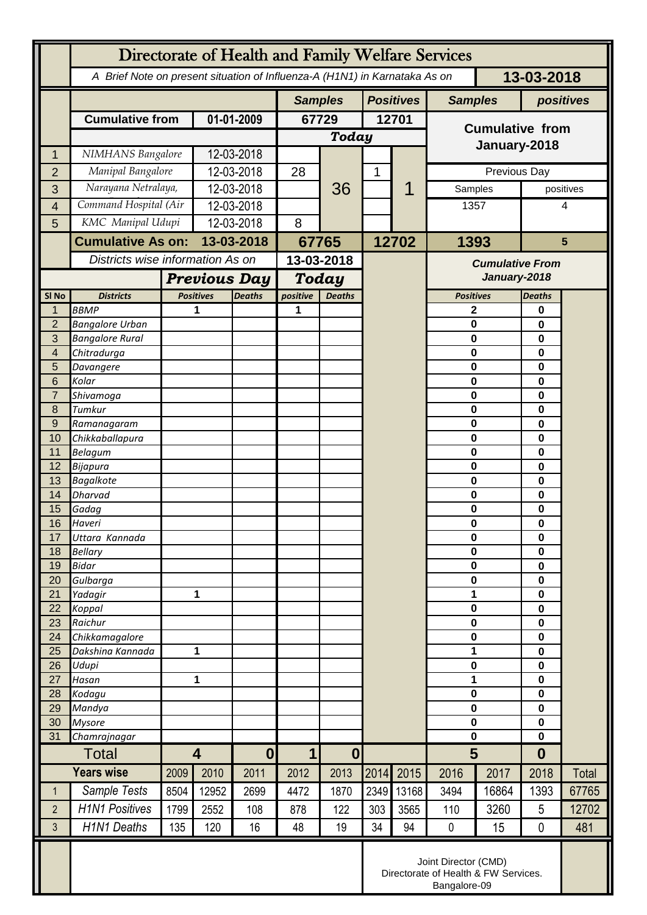|                  | Directorate of Health and Family Welfare Services                                        |                                                      |                                   |            |                                 |               |                  |              |                                        |       |                  |           |
|------------------|------------------------------------------------------------------------------------------|------------------------------------------------------|-----------------------------------|------------|---------------------------------|---------------|------------------|--------------|----------------------------------------|-------|------------------|-----------|
|                  | 13-03-2018<br>A Brief Note on present situation of Influenza-A (H1N1) in Karnataka As on |                                                      |                                   |            |                                 |               |                  |              |                                        |       |                  |           |
|                  |                                                                                          |                                                      |                                   |            | <b>Samples</b>                  |               | <b>Positives</b> |              | <b>Samples</b>                         |       | positives        |           |
|                  | <b>Cumulative from</b>                                                                   |                                                      | 01-01-2009                        |            | 67729                           |               | 12701            |              |                                        |       |                  |           |
|                  |                                                                                          |                                                      |                                   |            | <b>Today</b>                    |               |                  |              | <b>Cumulative from</b>                 |       |                  |           |
| 1                | NIMHANS Bangalore                                                                        |                                                      | 12-03-2018                        |            |                                 |               |                  |              | January-2018                           |       |                  |           |
| $\overline{2}$   | Manipal Bangalore                                                                        |                                                      | 12-03-2018                        |            | 28                              |               | 1                | Previous Day |                                        |       |                  |           |
| 3                |                                                                                          | Narayana Netralaya,                                  |                                   | 12-03-2018 |                                 | 36            |                  |              | Samples                                |       |                  | positives |
| $\overline{4}$   | Command Hospital (Air                                                                    |                                                      | 12-03-2018                        |            |                                 |               |                  |              | 1357                                   |       |                  | 4         |
| 5                | KMC Manipal Udupi                                                                        |                                                      | 12-03-2018                        |            | 8                               |               |                  |              |                                        |       |                  |           |
|                  |                                                                                          | <b>Cumulative As on:</b>                             |                                   | 13-03-2018 |                                 | 67765         |                  | 12702        | 1393                                   |       | $5\phantom{1}$   |           |
|                  |                                                                                          |                                                      | Districts wise information As on  |            | 13-03-2018                      |               |                  |              | <b>Cumulative From</b><br>January-2018 |       |                  |           |
|                  |                                                                                          | <b>Previous Day</b>                                  |                                   |            | <b>Today</b>                    |               |                  |              |                                        |       |                  |           |
| SI <sub>No</sub> | <b>Districts</b>                                                                         |                                                      | <b>Positives</b><br><b>Deaths</b> |            | positive                        | <b>Deaths</b> |                  |              | <b>Positives</b>                       |       | <b>Deaths</b>    |           |
| 1                | <b>BBMP</b>                                                                              |                                                      | 1                                 |            | 1                               |               |                  |              | 2                                      |       | 0                |           |
| $\overline{2}$   | <b>Bangalore Urban</b>                                                                   |                                                      |                                   |            |                                 |               |                  |              | 0                                      |       | 0                |           |
| 3<br>4           | <b>Bangalore Rural</b><br>Chitradurga                                                    |                                                      |                                   |            |                                 |               |                  |              | 0<br>0                                 |       | 0<br>$\bf{0}$    |           |
| 5                | Davangere                                                                                |                                                      |                                   |            |                                 |               |                  |              | 0                                      |       | 0                |           |
| 6                | Kolar                                                                                    |                                                      |                                   |            |                                 |               |                  |              | 0                                      |       | 0                |           |
| $\overline{7}$   | Shivamoga                                                                                |                                                      |                                   |            |                                 |               |                  |              | 0                                      |       | 0                |           |
| 8                | Tumkur                                                                                   |                                                      |                                   |            |                                 |               |                  |              | 0                                      |       | 0                |           |
| 9<br>10          | Ramanagaram                                                                              |                                                      |                                   |            |                                 |               |                  |              | 0<br>0                                 |       | 0<br>0           |           |
| 11               | Chikkaballapura<br><b>Belagum</b>                                                        |                                                      |                                   |            |                                 |               |                  |              | 0                                      |       | 0                |           |
| 12               | Bijapura                                                                                 |                                                      |                                   |            |                                 |               |                  |              | 0                                      |       | 0                |           |
| 13               | <b>Bagalkote</b>                                                                         |                                                      |                                   |            |                                 |               |                  |              | 0                                      |       | 0                |           |
| 14               | Dharvad                                                                                  |                                                      |                                   |            |                                 |               |                  |              | $\mathbf 0$                            |       | $\mathbf 0$      |           |
| 15               | Gadag<br>Haveri                                                                          |                                                      |                                   |            |                                 |               |                  |              | 0<br>0                                 |       | 0<br>0           |           |
| 16<br>17         | Uttara Kannada                                                                           |                                                      |                                   |            |                                 |               |                  |              | 0                                      |       | 0                |           |
| 18               | <b>Bellary</b>                                                                           |                                                      |                                   |            |                                 |               |                  |              | $\mathbf 0$                            |       | 0                |           |
| 19               | <b>Bidar</b>                                                                             |                                                      |                                   |            |                                 |               |                  |              | 0                                      |       | $\mathbf 0$      |           |
| 20               | Gulbarga                                                                                 |                                                      |                                   |            |                                 |               |                  |              | 0                                      |       | 0                |           |
| 21<br>22         | Yadagir<br>Koppal                                                                        |                                                      | 1                                 |            |                                 |               |                  |              | 1<br>$\mathbf 0$                       |       | 0<br>0           |           |
| 23               | Raichur                                                                                  |                                                      |                                   |            |                                 |               |                  |              | 0                                      |       | 0                |           |
| 24               | Chikkamagalore                                                                           |                                                      |                                   |            |                                 |               |                  |              | 0                                      |       | 0                |           |
| 25               | Dakshina Kannada                                                                         | 1                                                    |                                   |            |                                 |               |                  |              | 1                                      |       | $\mathbf 0$      |           |
| 26               | Udupi                                                                                    |                                                      |                                   |            |                                 |               |                  |              | 0                                      |       | 0                |           |
| 27<br>28         | Hasan<br>Kodagu                                                                          | 1                                                    |                                   |            |                                 |               |                  |              | 1<br>$\mathbf 0$                       |       | 0<br>0           |           |
| 29               | Mandya                                                                                   |                                                      |                                   |            |                                 |               |                  |              | $\mathbf 0$                            |       | $\mathbf 0$      |           |
| 30               | <b>Mysore</b>                                                                            |                                                      |                                   |            |                                 |               |                  |              | 0                                      |       | $\mathbf 0$      |           |
| 31               | Chamrajnagar                                                                             |                                                      |                                   |            |                                 |               |                  |              | $\mathbf 0$                            |       | 0                |           |
| <b>Total</b>     |                                                                                          | $\overline{\mathbf{4}}$                              |                                   | $\bf{0}$   | $\boldsymbol{0}$<br>$\mathbf 1$ |               |                  |              | 5                                      |       | $\boldsymbol{0}$ |           |
|                  | <b>Years wise</b>                                                                        | 2009                                                 | 2010                              | 2011       | 2012                            | 2013          | 2014             | 2015         | 2016                                   | 2017  | 2018             | Total     |
| $\mathbf 1$      | Sample Tests                                                                             | 8504                                                 | 12952                             | 2699       | 4472                            | 1870          | 2349             | 13168        | 3494                                   | 16864 | 1393             | 67765     |
| $\overline{2}$   | <b>H1N1 Positives</b>                                                                    | 1799                                                 | 2552                              | 108        | 878                             | 122           | 303              | 3565         | 110                                    | 3260  | 5                | 12702     |
| 3                | <b>H1N1 Deaths</b>                                                                       | 135                                                  | 120                               | 16         | 48                              | 19            | 34               | 94           | $\pmb{0}$                              | 15    | 0                | 481       |
|                  | Joint Director (CMD)                                                                     |                                                      |                                   |            |                                 |               |                  |              |                                        |       |                  |           |
|                  |                                                                                          | Directorate of Health & FW Services.<br>Bangalore-09 |                                   |            |                                 |               |                  |              |                                        |       |                  |           |